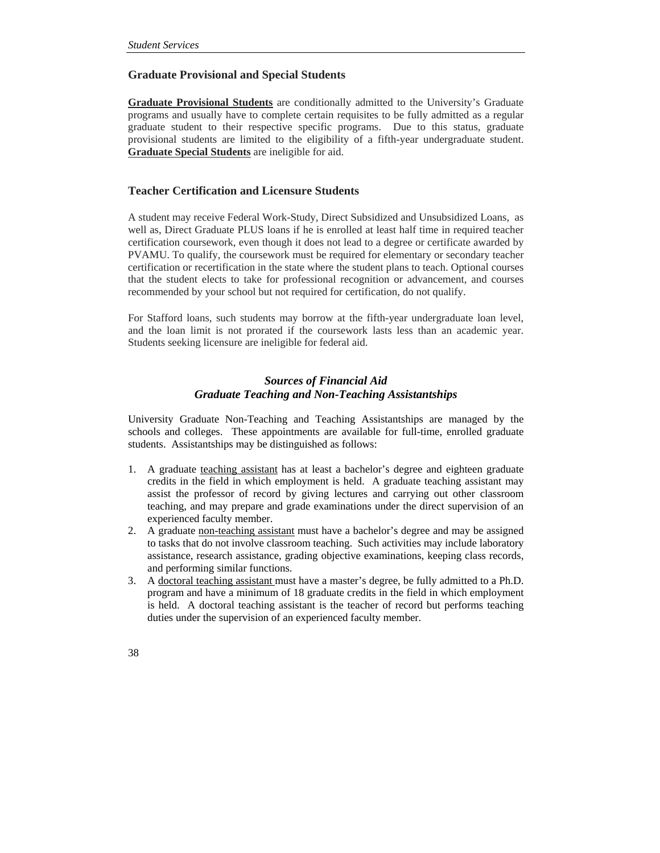# **Graduate Provisional and Special Students**

**Graduate Provisional Students** are conditionally admitted to the University's Graduate programs and usually have to complete certain requisites to be fully admitted as a regular graduate student to their respective specific programs. Due to this status, graduate provisional students are limited to the eligibility of a fifth-year undergraduate student. **Graduate Special Students** are ineligible for aid.

## **Teacher Certification and Licensure Students**

A student may receive Federal Work-Study, Direct Subsidized and Unsubsidized Loans, as well as, Direct Graduate PLUS loans if he is enrolled at least half time in required teacher certification coursework, even though it does not lead to a degree or certificate awarded by PVAMU. To qualify, the coursework must be required for elementary or secondary teacher certification or recertification in the state where the student plans to teach. Optional courses that the student elects to take for professional recognition or advancement, and courses recommended by your school but not required for certification, do not qualify.

For Stafford loans, such students may borrow at the fifth-year undergraduate loan level, and the loan limit is not prorated if the coursework lasts less than an academic year. Students seeking licensure are ineligible for federal aid.

# *Sources of Financial Aid Graduate Teaching and Non-Teaching Assistantships*

University Graduate Non-Teaching and Teaching Assistantships are managed by the schools and colleges. These appointments are available for full-time, enrolled graduate students. Assistantships may be distinguished as follows:

- 1. A graduate teaching assistant has at least a bachelor's degree and eighteen graduate credits in the field in which employment is held. A graduate teaching assistant may assist the professor of record by giving lectures and carrying out other classroom teaching, and may prepare and grade examinations under the direct supervision of an experienced faculty member.
- 2. A graduate non-teaching assistant must have a bachelor's degree and may be assigned to tasks that do not involve classroom teaching. Such activities may include laboratory assistance, research assistance, grading objective examinations, keeping class records, and performing similar functions.
- 3. A doctoral teaching assistant must have a master's degree, be fully admitted to a Ph.D. program and have a minimum of 18 graduate credits in the field in which employment is held. A doctoral teaching assistant is the teacher of record but performs teaching duties under the supervision of an experienced faculty member.
- 38